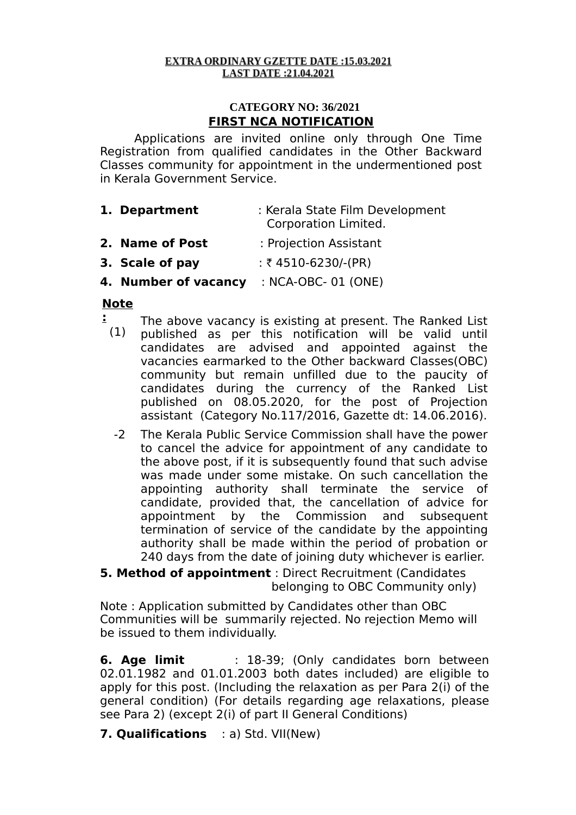#### EXTRA ORDINARY GZETTE DATE:15.03.2021 **LAST DATE:21.04.2021**

## **CATEGORY NO: 36/2021 FIRST NCA NOTIFICATION**

Applications are invited online only through One Time Registration from qualified candidates in the Other Backward Classes community for appointment in the undermentioned post in Kerala Government Service.

| 1. Department   | : Kerala State Film Development<br>Corporation Limited. |  |  |  |  |
|-----------------|---------------------------------------------------------|--|--|--|--|
| 2. Name of Post | : Projection Assistant                                  |  |  |  |  |
| 3. Scale of pay | : ₹4510-6230/-(PR)                                      |  |  |  |  |

**4. Number of vacancy** : NCA-OBC- 01 (ONE)

## **Note**

- **:** (1) The above vacancy is existing at present. The Ranked List published as per this notification will be valid until candidates are advised and appointed against the vacancies earmarked to the Other backward Classes(OBC) community but remain unfilled due to the paucity of candidates during the currency of the Ranked List published on 08.05.2020, for the post of Projection assistant (Category No.117/2016, Gazette dt: 14.06.2016).
	- -2 The Kerala Public Service Commission shall have the power to cancel the advice for appointment of any candidate to the above post, if it is subsequently found that such advise was made under some mistake. On such cancellation the appointing authority shall terminate the service of candidate, provided that, the cancellation of advice for appointment by the Commission and subsequent termination of service of the candidate by the appointing authority shall be made within the period of probation or 240 days from the date of joining duty whichever is earlier.

# **5. Method of appointment** : Direct Recruitment (Candidates belonging to OBC Community only)

Note : Application submitted by Candidates other than OBC Communities will be summarily rejected. No rejection Memo will be issued to them individually.

**6. Age limit** : 18-39; (Only candidates born between 02.01.1982 and 01.01.2003 both dates included) are eligible to apply for this post. (Including the relaxation as per Para 2(i) of the general condition) (For details regarding age relaxations, please see Para 2) (except 2(i) of part II General Conditions)

**7. Qualifications** : a) Std. VII(New)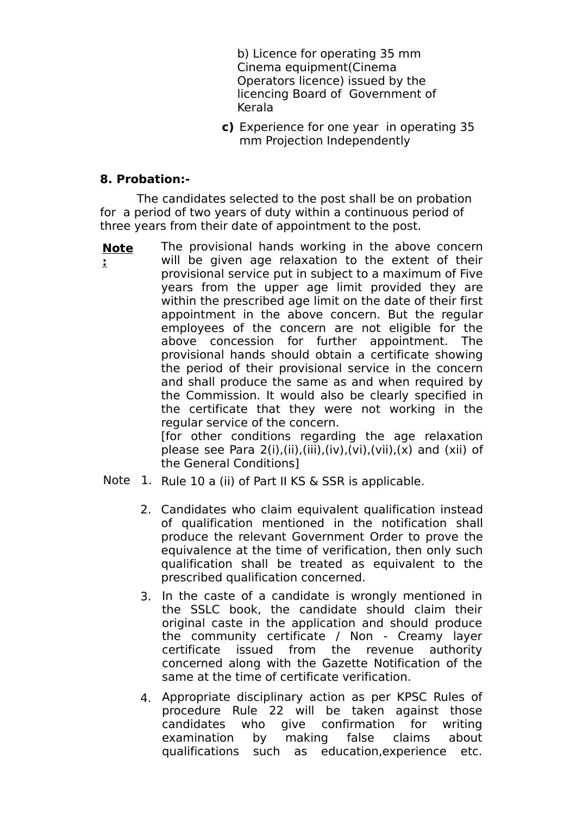b) Licence for operating 35 mm Cinema equipment(Cinema Operators licence) issued by the licencing Board of Government of Kerala

**c)** Experience for one year in operating 35 mm Projection Independently

## **8. Probation:-**

 The candidates selected to the post shall be on probation for a period of two years of duty within a continuous period of three years from their date of appointment to the post.

**Note :** The provisional hands working in the above concern will be given age relaxation to the extent of their provisional service put in subject to a maximum of Five years from the upper age limit provided they are within the prescribed age limit on the date of their first appointment in the above concern. But the regular employees of the concern are not eligible for the above concession for further appointment. The provisional hands should obtain a certificate showing the period of their provisional service in the concern and shall produce the same as and when required by the Commission. It would also be clearly specified in the certificate that they were not working in the regular service of the concern. [for other conditions regarding the age relaxation

please see Para  $2(i)$ ,(ii),(iii),(iv),(vi),(vii),(x) and (xii) of the General Conditions]

- Note 1. Rule 10 a (ii) of Part II KS & SSR is applicable.
	- 2. Candidates who claim equivalent qualification instead of qualification mentioned in the notification shall produce the relevant Government Order to prove the equivalence at the time of verification, then only such qualification shall be treated as equivalent to the prescribed qualification concerned.
	- 3. In the caste of a candidate is wrongly mentioned in the SSLC book, the candidate should claim their original caste in the application and should produce the community certificate / Non - Creamy layer certificate issued from the revenue authority concerned along with the Gazette Notification of the same at the time of certificate verification.
	- 4. Appropriate disciplinary action as per KPSC Rules of procedure Rule 22 will be taken against those candidates who give confirmation for writing examination by making false claims about qualifications such as education,experience etc.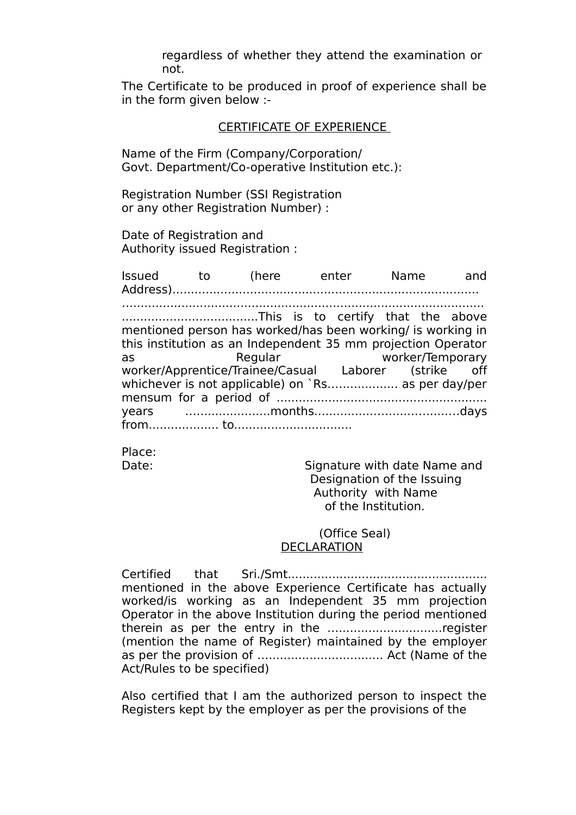regardless of whether they attend the examination or not.

The Certificate to be produced in proof of experience shall be in the form given below :-

### CERTIFICATE OF EXPERIENCE

Name of the Firm (Company/Corporation/ Govt. Department/Co-operative Institution etc.):

Registration Number (SSI Registration or any other Registration Number) :

Date of Registration and Authority issued Registration :

|                                                              | Issued to (here |         |  |  |                  | enter Name and |  |  |  |  |  |
|--------------------------------------------------------------|-----------------|---------|--|--|------------------|----------------|--|--|--|--|--|
|                                                              |                 |         |  |  |                  |                |  |  |  |  |  |
|                                                              |                 |         |  |  |                  |                |  |  |  |  |  |
| mentioned person has worked/has been working/ is working in  |                 |         |  |  |                  |                |  |  |  |  |  |
| this institution as an Independent 35 mm projection Operator |                 |         |  |  |                  |                |  |  |  |  |  |
| as                                                           |                 | Regular |  |  | worker/Temporary |                |  |  |  |  |  |
| worker/Apprentice/Trainee/Casual Laborer (strike off         |                 |         |  |  |                  |                |  |  |  |  |  |
| whichever is not applicable) on `Rs as per day/per           |                 |         |  |  |                  |                |  |  |  |  |  |
|                                                              |                 |         |  |  |                  |                |  |  |  |  |  |
|                                                              |                 |         |  |  |                  |                |  |  |  |  |  |
|                                                              |                 |         |  |  |                  |                |  |  |  |  |  |

Place:

Date: Case of the Signature with date Name and Designation of the Issuing Authority with Name of the Institution.

> (Office Seal) **DECLARATION**

Certified that Sri./Smt...................................................... mentioned in the above Experience Certificate has actually worked/is working as an Independent 35 mm projection Operator in the above Institution during the period mentioned therein as per the entry in the .................................register (mention the name of Register) maintained by the employer as per the provision of …............................... Act (Name of the Act/Rules to be specified)

Also certified that I am the authorized person to inspect the Registers kept by the employer as per the provisions of the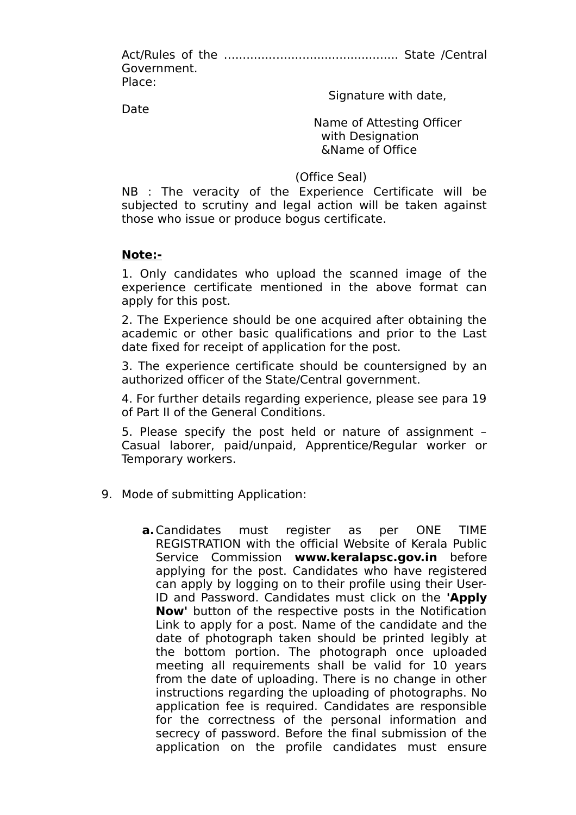Act/Rules of the …..........…............................... State /Central Government. Place:

Date

Signature with date,

 Name of Attesting Officer with Designation &Name of Office

(Office Seal)

NB : The veracity of the Experience Certificate will be subjected to scrutiny and legal action will be taken against those who issue or produce bogus certificate.

## **Note:-**

1. Only candidates who upload the scanned image of the experience certificate mentioned in the above format can apply for this post.

2. The Experience should be one acquired after obtaining the academic or other basic qualifications and prior to the Last date fixed for receipt of application for the post.

3. The experience certificate should be countersigned by an authorized officer of the State/Central government.

4. For further details regarding experience, please see para 19 of Part II of the General Conditions.

5. Please specify the post held or nature of assignment – Casual laborer, paid/unpaid, Apprentice/Regular worker or Temporary workers.

- 9. Mode of submitting Application:
	- **a.**Candidates must register as per ONE TIME REGISTRATION with the official Website of Kerala Public Service Commission **www.keralapsc.gov.in** before applying for the post. Candidates who have registered can apply by logging on to their profile using their User-ID and Password. Candidates must click on the **'Apply Now'** button of the respective posts in the Notification Link to apply for a post. Name of the candidate and the date of photograph taken should be printed legibly at the bottom portion. The photograph once uploaded meeting all requirements shall be valid for 10 years from the date of uploading. There is no change in other instructions regarding the uploading of photographs. No application fee is required. Candidates are responsible for the correctness of the personal information and secrecy of password. Before the final submission of the application on the profile candidates must ensure